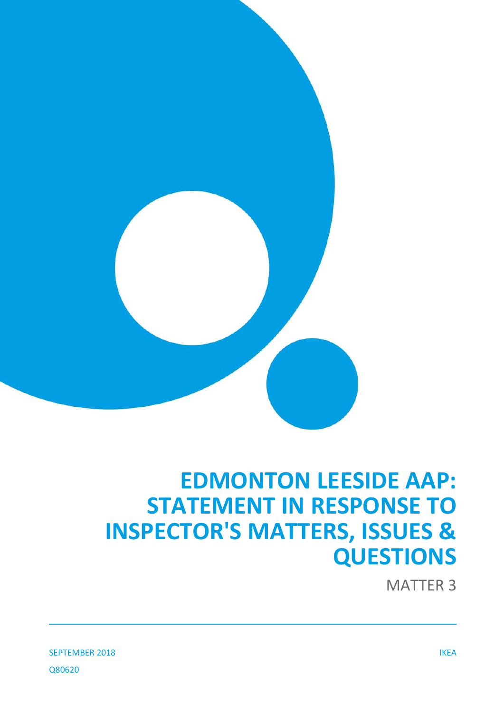

# **EDMONTON LEESIDE AAP: STATEMENT IN RESPONSE TO INSPECTOR'S MATTERS, ISSUES & QUESTIONS**

MATTER 3

SEPTEMBER 2018 IKEA Q80620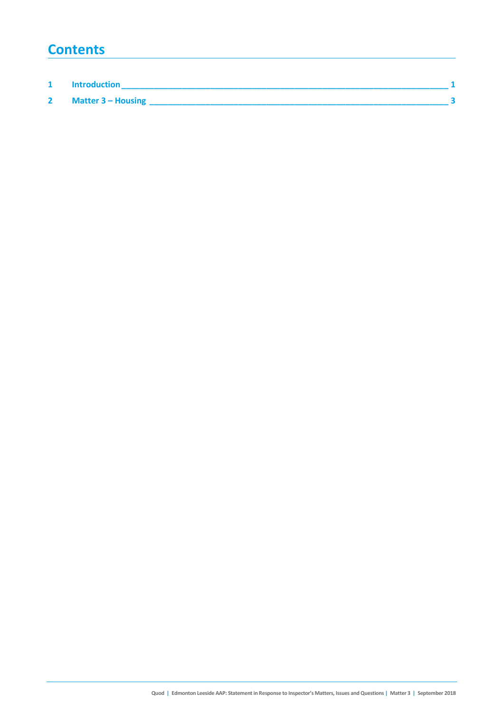## **Contents**

| <b>Introduction</b> |  |
|---------------------|--|
| Matter 3 - Housing  |  |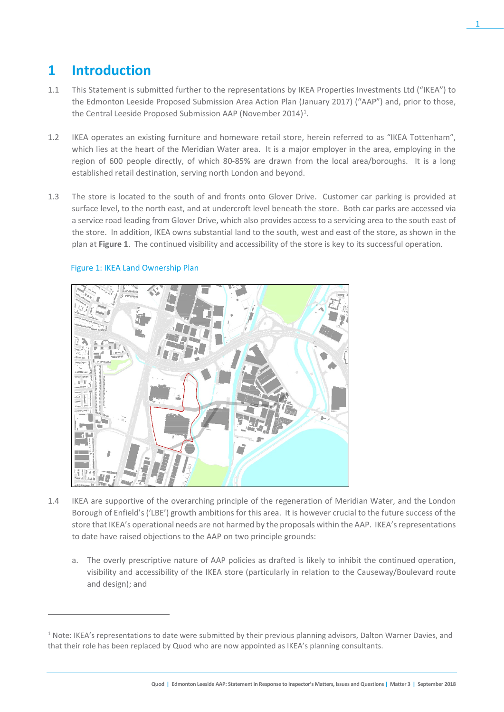# **1 Introduction**

- 1.1 This Statement is submitted further to the representations by IKEA Properties Investments Ltd ("IKEA") to the Edmonton Leeside Proposed Submission Area Action Plan (January 2017) ("AAP") and, prior to those, the Central Leeside Proposed Submission AAP (November 20[1](#page-2-0)4)<sup>1</sup>.
- 1.2 IKEA operates an existing furniture and homeware retail store, herein referred to as "IKEA Tottenham", which lies at the heart of the Meridian Water area. It is a major employer in the area, employing in the region of 600 people directly, of which 80-85% are drawn from the local area/boroughs. It is a long established retail destination, serving north London and beyond.
- 1.3 The store is located to the south of and fronts onto Glover Drive. Customer car parking is provided at surface level, to the north east, and at undercroft level beneath the store. Both car parks are accessed via a service road leading from Glover Drive, which also provides access to a servicing area to the south east of the store. In addition, IKEA owns substantial land to the south, west and east of the store, as shown in the plan at **Figure 1**. The continued visibility and accessibility of the store is key to its successful operation.



### Figure 1: IKEA Land Ownership Plan

 $\overline{a}$ 

- 1.4 IKEA are supportive of the overarching principle of the regeneration of Meridian Water, and the London Borough of Enfield's ('LBE') growth ambitions for this area. It is however crucial to the future success of the store that IKEA's operational needs are not harmed by the proposals within the AAP. IKEA's representations to date have raised objections to the AAP on two principle grounds:
	- a. The overly prescriptive nature of AAP policies as drafted is likely to inhibit the continued operation, visibility and accessibility of the IKEA store (particularly in relation to the Causeway/Boulevard route and design); and

<span id="page-2-0"></span> $1$  Note: IKEA's representations to date were submitted by their previous planning advisors, Dalton Warner Davies, and that their role has been replaced by Quod who are now appointed as IKEA's planning consultants.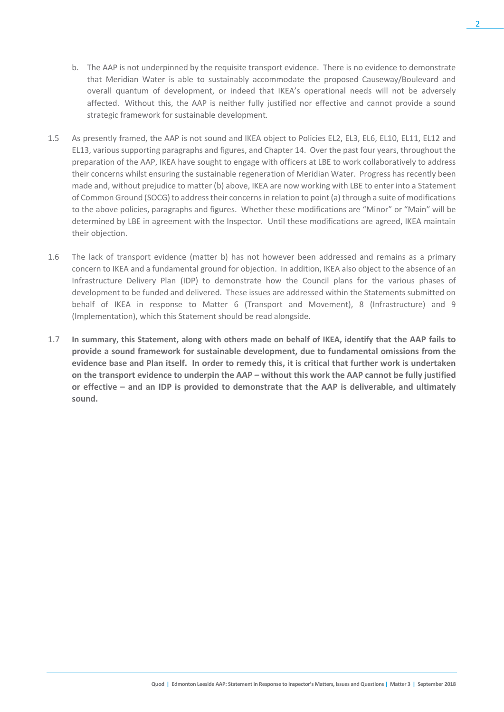- b. The AAP is not underpinned by the requisite transport evidence. There is no evidence to demonstrate that Meridian Water is able to sustainably accommodate the proposed Causeway/Boulevard and overall quantum of development, or indeed that IKEA's operational needs will not be adversely affected. Without this, the AAP is neither fully justified nor effective and cannot provide a sound strategic framework for sustainable development*.*
- 1.5 As presently framed, the AAP is not sound and IKEA object to Policies EL2, EL3, EL6, EL10, EL11, EL12 and EL13, various supporting paragraphs and figures, and Chapter 14. Over the past four years, throughout the preparation of the AAP, IKEA have sought to engage with officers at LBE to work collaboratively to address their concerns whilst ensuring the sustainable regeneration of Meridian Water. Progress has recently been made and, without prejudice to matter (b) above, IKEA are now working with LBE to enter into a Statement of Common Ground (SOCG) to address their concerns in relation to point (a) through a suite of modifications to the above policies, paragraphs and figures. Whether these modifications are "Minor" or "Main" will be determined by LBE in agreement with the Inspector. Until these modifications are agreed, IKEA maintain their objection.
- 1.6 The lack of transport evidence (matter b) has not however been addressed and remains as a primary concern to IKEA and a fundamental ground for objection. In addition, IKEA also object to the absence of an Infrastructure Delivery Plan (IDP) to demonstrate how the Council plans for the various phases of development to be funded and delivered. These issues are addressed within the Statements submitted on behalf of IKEA in response to Matter 6 (Transport and Movement), 8 (Infrastructure) and 9 (Implementation), which this Statement should be read alongside.
- 1.7 **In summary, this Statement, along with others made on behalf of IKEA, identify that the AAP fails to provide a sound framework for sustainable development, due to fundamental omissions from the evidence base and Plan itself. In order to remedy this, it is critical that further work is undertaken on the transport evidence to underpin the AAP – without this work the AAP cannot be fully justified or effective – and an IDP is provided to demonstrate that the AAP is deliverable, and ultimately sound.**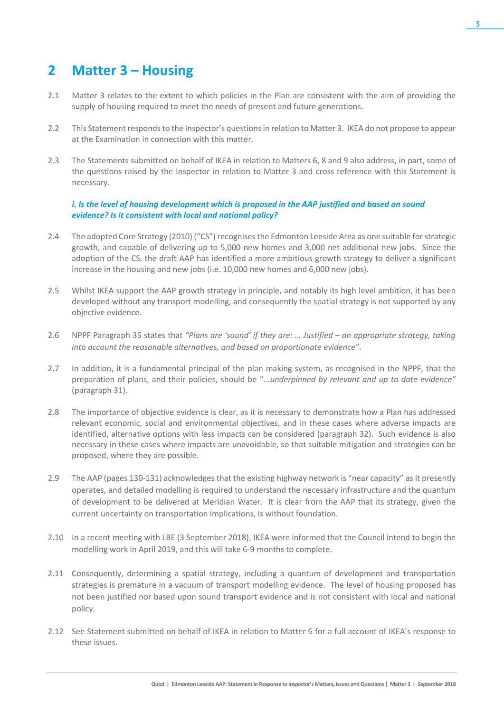# **2 Matter 3 – Housing**

- 2.1 Matter 3 relates to the extent to which policies in the Plan are consistent with the aim of providing the supply of housing required to meet the needs of present and future generations.
- 2.2 This Statement responds to the Inspector's questions in relation to Matter 3. IKEA do not propose to appear at the Examination in connection with this matter.
- 2.3 The Statements submitted on behalf of IKEA in relation to Matters 6, 8 and 9 also address, in part, some of the questions raised by the Inspector in relation to Matter 3 and cross reference with this Statement is necessary.

### *i. Is the level of housing development which is proposed in the AAP justified and based on sound evidence? Is it consistent with local and national policy?*

- 2.4 The adopted Core Strategy (2010) ("CS") recognises the Edmonton Leeside Area as one suitable for strategic growth, and capable of delivering up to 5,000 new homes and 3,000 net additional new jobs. Since the adoption of the CS, the draft AAP has identified a more ambitious growth strategy to deliver a significant increase in the housing and new jobs (i.e. 10,000 new homes and 6,000 new jobs).
- 2.5 Whilst IKEA support the AAP growth strategy in principle, and notably its high level ambition, it has been developed without any transport modelling, and consequently the spatial strategy is not supported by any objective evidence.
- 2.6 NPPF Paragraph 35 states that *"Plans are 'sound' if they are: … Justified – an appropriate strategy, taking into account the reasonable alternatives, and based on proportionate evidence"*.
- 2.7 In addition, it is a fundamental principal of the plan making system, as recognised in the NPPF, that the preparation of plans, and their policies, should be "...*underpinned by relevant and up to date evidence"*  (paragraph 31).
- 2.8 The importance of objective evidence is clear, as it is necessary to demonstrate how a Plan has addressed relevant economic, social and environmental objectives, and in these cases where adverse impacts are identified, alternative options with less impacts can be considered (paragraph 32). Such evidence is also necessary in these cases where impacts are unavoidable, so that suitable mitigation and strategies can be proposed, where they are possible.
- 2.9 The AAP (pages 130-131) acknowledges that the existing highway network is "near capacity" as it presently operates, and detailed modelling is required to understand the necessary infrastructure and the quantum of development to be delivered at Meridian Water. It is clear from the AAP that its strategy, given the current uncertainty on transportation implications, is without foundation.
- 2.10 In a recent meeting with LBE (3 September 2018), IKEA were informed that the Council intend to begin the modelling work in April 2019, and this will take 6-9 months to complete.
- 2.11 Consequently, determining a spatial strategy, including a quantum of development and transportation strategies is premature in a vacuum of transport modelling evidence. The level of housing proposed has not been justified nor based upon sound transport evidence and is not consistent with local and national policy.
- 2.12 See Statement submitted on behalf of IKEA in relation to Matter 6 for a full account of IKEA's response to these issues.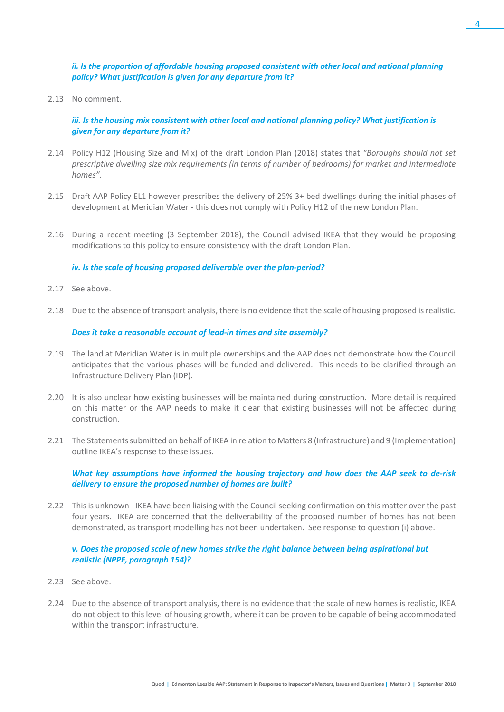### *ii. Is the proportion of affordable housing proposed consistent with other local and national planning policy? What justification is given for any departure from it?*

2.13 No comment.

### *iii. Is the housing mix consistent with other local and national planning policy? What justification is given for any departure from it?*

- 2.14 Policy H12 (Housing Size and Mix) of the draft London Plan (2018) states that *"Boroughs should not set prescriptive dwelling size mix requirements (in terms of number of bedrooms) for market and intermediate homes"*.
- 2.15 Draft AAP Policy EL1 however prescribes the delivery of 25% 3+ bed dwellings during the initial phases of development at Meridian Water - this does not comply with Policy H12 of the new London Plan.
- 2.16 During a recent meeting (3 September 2018), the Council advised IKEA that they would be proposing modifications to this policy to ensure consistency with the draft London Plan.

#### *iv. Is the scale of housing proposed deliverable over the plan-period?*

- 2.17 See above.
- 2.18 Due to the absence of transport analysis, there is no evidence that the scale of housing proposed is realistic.

#### *Does it take a reasonable account of lead-in times and site assembly?*

- 2.19 The land at Meridian Water is in multiple ownerships and the AAP does not demonstrate how the Council anticipates that the various phases will be funded and delivered. This needs to be clarified through an Infrastructure Delivery Plan (IDP).
- 2.20 It is also unclear how existing businesses will be maintained during construction. More detail is required on this matter or the AAP needs to make it clear that existing businesses will not be affected during construction.
- 2.21 The Statementssubmitted on behalf of IKEA in relation to Matters 8 (Infrastructure) and 9 (Implementation) outline IKEA's response to these issues.

#### *What key assumptions have informed the housing trajectory and how does the AAP seek to de-risk delivery to ensure the proposed number of homes are built?*

2.22 This is unknown - IKEA have been liaising with the Council seeking confirmation on this matter over the past four years. IKEA are concerned that the deliverability of the proposed number of homes has not been demonstrated, as transport modelling has not been undertaken. See response to question (i) above.

### *v. Does the proposed scale of new homes strike the right balance between being aspirational but realistic (NPPF, paragraph 154)?*

- 2.23 See above.
- 2.24 Due to the absence of transport analysis, there is no evidence that the scale of new homes is realistic, IKEA do not object to this level of housing growth, where it can be proven to be capable of being accommodated within the transport infrastructure.